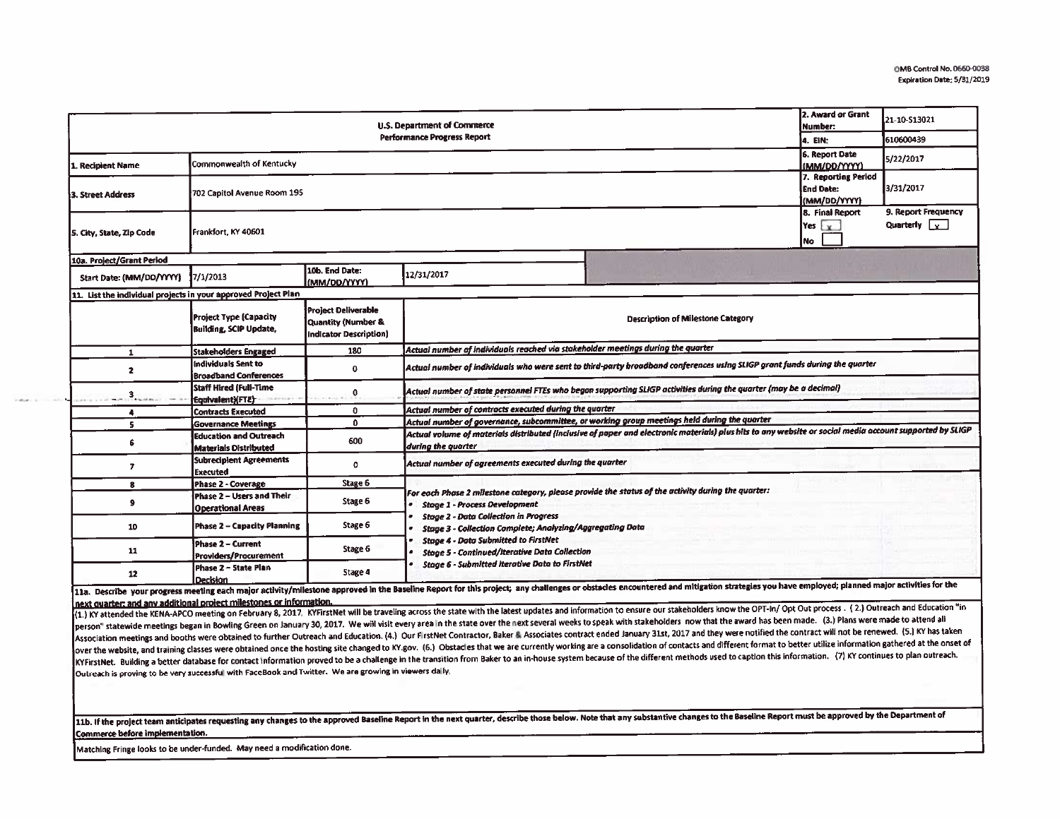|                                                                | 2. Award or Grant<br>Number:                                                                                                                                                                                                                                             | 21-10-S13021                                                               |                                                                                                                                                                                                                                                                                                                                |  |  |                                             |  |  |  |  |
|----------------------------------------------------------------|--------------------------------------------------------------------------------------------------------------------------------------------------------------------------------------------------------------------------------------------------------------------------|----------------------------------------------------------------------------|--------------------------------------------------------------------------------------------------------------------------------------------------------------------------------------------------------------------------------------------------------------------------------------------------------------------------------|--|--|---------------------------------------------|--|--|--|--|
| <b>Performance Progress Report</b><br>4. EIN:                  |                                                                                                                                                                                                                                                                          |                                                                            |                                                                                                                                                                                                                                                                                                                                |  |  | 610600439                                   |  |  |  |  |
| 1. Recipient Name                                              | Commonwealth of Kentucky                                                                                                                                                                                                                                                 |                                                                            |                                                                                                                                                                                                                                                                                                                                |  |  | 5/22/2017                                   |  |  |  |  |
| 3. Street Address                                              | 7. Reporting Period<br><b>LEnd Date:</b><br>702 Capitol Avenue Room 195                                                                                                                                                                                                  |                                                                            |                                                                                                                                                                                                                                                                                                                                |  |  | 3/31/2017                                   |  |  |  |  |
| 5. City, State, Zip Code                                       | Frankfort, KY 40601                                                                                                                                                                                                                                                      |                                                                            |                                                                                                                                                                                                                                                                                                                                |  |  | 9. Report Frequency<br>Quarterly $\sqrt{y}$ |  |  |  |  |
| 10a. Project/Grant Period                                      |                                                                                                                                                                                                                                                                          |                                                                            |                                                                                                                                                                                                                                                                                                                                |  |  |                                             |  |  |  |  |
| Start Date: (MM/DD/YYYY)                                       | 7/1/2013                                                                                                                                                                                                                                                                 | 10b. End Date:<br>(MM/DD/YYYY)                                             | 12/31/2017                                                                                                                                                                                                                                                                                                                     |  |  |                                             |  |  |  |  |
| 11. List the individual projects in your approved Project Plan |                                                                                                                                                                                                                                                                          |                                                                            |                                                                                                                                                                                                                                                                                                                                |  |  |                                             |  |  |  |  |
|                                                                | Project Type (Capacity<br><b>Building, SCIP Update,</b>                                                                                                                                                                                                                  | <b>Project Deliverable</b><br>Quantity (Number &<br>Indicator Description) | <b>Description of Milestone Category</b>                                                                                                                                                                                                                                                                                       |  |  |                                             |  |  |  |  |
| 1                                                              | Stakeholders Engaged                                                                                                                                                                                                                                                     | 180                                                                        | Actual number of individuals reached via stakeholder meetings during the quarter                                                                                                                                                                                                                                               |  |  |                                             |  |  |  |  |
| 2                                                              | Individuals Sent to<br><b>Broadband Conferences</b>                                                                                                                                                                                                                      | ۰                                                                          | Actual number of individuals who were sent to third-party broadband conferences using SLIGP grant funds during the quarter                                                                                                                                                                                                     |  |  |                                             |  |  |  |  |
| 3                                                              | Staff Hired (Full-Time<br>Equivalent)(FTE)                                                                                                                                                                                                                               | 0                                                                          | Actual number of state personnel FTEs who began supporting SLIGP activities during the quarter (may be a decimal)                                                                                                                                                                                                              |  |  |                                             |  |  |  |  |
| 4                                                              | <b>Contracts Executed</b>                                                                                                                                                                                                                                                | $\mathbf 0$                                                                | Actual number of contracts executed during the quarter                                                                                                                                                                                                                                                                         |  |  |                                             |  |  |  |  |
| s                                                              | <b>Governance Meetings</b>                                                                                                                                                                                                                                               | $\mathbf{D}$                                                               | Actual number of governance, subcommittee, or working group meetings held during the quarter                                                                                                                                                                                                                                   |  |  |                                             |  |  |  |  |
| ĥ.                                                             | <b>Education and Outreach</b><br><b>Materials Distributed</b>                                                                                                                                                                                                            | 600                                                                        | Actual volume of materials distributed (inclusive of paper and electronic materials) plus hits to any website or social media account supported by SLIGP<br>during the quarter                                                                                                                                                 |  |  |                                             |  |  |  |  |
| $\overline{ }$                                                 | <b>Subrecipient Agreements</b><br><b>Executed</b>                                                                                                                                                                                                                        | ٥                                                                          | Actual number of agreements executed during the quarter                                                                                                                                                                                                                                                                        |  |  |                                             |  |  |  |  |
| 8                                                              | Phase 2 - Coverage                                                                                                                                                                                                                                                       | Stage 6                                                                    |                                                                                                                                                                                                                                                                                                                                |  |  |                                             |  |  |  |  |
| 9                                                              | Phase 2 - Users and Their<br><b>Operational Areas</b>                                                                                                                                                                                                                    | Stage 6                                                                    | For each Phase 2 milestone category, please provide the status of the activity during the quarter:<br><b>Stage 1 - Process Development</b>                                                                                                                                                                                     |  |  |                                             |  |  |  |  |
| 10                                                             | Phase 2 - Capacity Planning                                                                                                                                                                                                                                              | Stage 6                                                                    | <b>Stage 2 - Data Collection in Progress</b><br>Stage 3 - Collection Complete; Analyzing/Aggregating Data                                                                                                                                                                                                                      |  |  |                                             |  |  |  |  |
| 11                                                             | Phase 2 - Current<br>Providers/Procurement                                                                                                                                                                                                                               | Stage 6                                                                    | <b>Stage 4 - Data Submitted to FirstNet</b><br><b>Stage 5 - Continued/Iterative Data Collection</b><br><b>Stage 6 - Submitted Iterative Data to FirstNet</b><br>in the Reguling Report for this project: any challenges or obstacles encountered and mitization strategies you have employed; planned major activities for the |  |  |                                             |  |  |  |  |
| 12                                                             | Phase 2 - State Plan<br>Decision<br><b>The contract of the contract of the contract of the contract of the contract of the contract of the contract of the contract of the contract of the contract of the contract of the contract of the contract of the contract </b> | Stage 4                                                                    |                                                                                                                                                                                                                                                                                                                                |  |  |                                             |  |  |  |  |

11a. Describe your progress meeting each major activity/milestone approved in the Baseline Report for this project; any challenges or obstacles encountered and mitigation Inext quarter: and any additional project milestones or information.

(1.) KY attended the KENA-APCO meeting on February 8, 2017. KYFirstNet will be traveling across the state with the latest updates and information to ensure our stakeholders know the OPT-In/ Opt Out process . (2.) Outreach person" statewide meetings began in Bowling Green on January 30, 2017. We will visit every area in the state over the next several weeks to speak with stakeholders now that the award has been made. (3.) Plans were made to Association meetings and booths were obtained to further Outreach and Education. (4.) Our FirstNet Contractor, Baker & Associates contract ended January 31st, 2017 and they were notified the contract will not be renewed. ( over the website, and training classes were obtained once the hosting site changed to KY.gov. (6.) Obstacles that we are currently working are a consolidation of contacts and different format to better utilize information KYFirstNet. Building a better database for contact information proved to be a challenge in the transition from Baker to an in-house system because of the different methods used to caption this information. (7) KY continues Outreach is proving to be very successful with FaceBook and Twitter. We are growing in viewers dally.

11b. If the project team anticipates requesting any changes to the approved Baseline Report in the next quarter, describe those below. Note that any substantive changes to the Baseline Report must be approved by the Depart Commerce before implementation.

Matching Fringe looks to be under-funded. May need a modification done.

color of the sales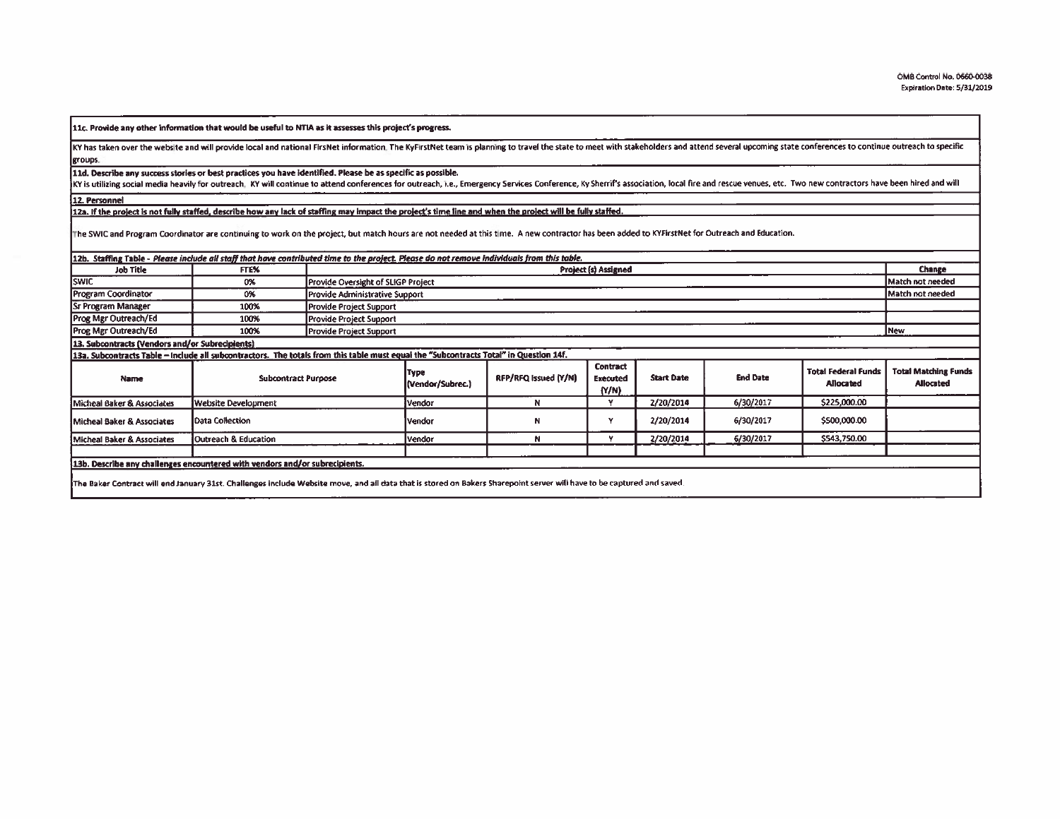11c. Provide any other information that would be useful to NTIA as it assesses this project's progress.

KY has taken over the website and will provide local and national FirsNet information. The KyFirstNet team is planning to travel the state to meet with stakeholders and attend several upcoming state conferences to continue groups.

11d. Describe any success stories or best practices you have identified. Please be as specific as possible.

KY is utilizing social media heavily for outreach, KY will continue to attend conferences for outreach, i.e., Emergency Services Conference, Ky Sherrif's association, local fire and rescue venues, etc. Two new contractors

12. Personnel

12a. If the project is not fully staffed, describe how any lack of staffing may impact the project's time line and when the project will be fully staffed.

The SWIC and Program Coordinator are continuing to work on the project, but match hours are not needed at this time. A new contractor has been added to KYFirstNet for Outreach and Education.

| <b>Job Title</b>                                                                                                                                                        | FTE%                       |                                | <b>Project (s) Assigned</b>        |                      |                                             |                   |                 |                                                | Change                                          |
|-------------------------------------------------------------------------------------------------------------------------------------------------------------------------|----------------------------|--------------------------------|------------------------------------|----------------------|---------------------------------------------|-------------------|-----------------|------------------------------------------------|-------------------------------------------------|
| <b>SWIC</b>                                                                                                                                                             | 0%                         |                                | Provide Oversight of SLIGP Project |                      |                                             |                   |                 |                                                | Match not needed                                |
| Program Coordinator                                                                                                                                                     | 0%                         |                                | Provide Administrative Support     |                      |                                             |                   |                 |                                                | Match not needed                                |
| <b>Sr Program Manager</b>                                                                                                                                               | 100%                       | <b>Provide Project Support</b> |                                    |                      |                                             |                   |                 |                                                |                                                 |
| Prog Mgr Outreach/Ed                                                                                                                                                    | 100%                       | Provide Project Support        |                                    |                      |                                             |                   |                 |                                                |                                                 |
| <b>Prog Mgr Outreach/Ed</b>                                                                                                                                             | 100%                       | <b>Provide Project Support</b> |                                    |                      |                                             |                   |                 |                                                | New                                             |
| 13. Subcontracts (Vendors and/or Subrecipients)                                                                                                                         |                            |                                |                                    |                      |                                             |                   |                 |                                                |                                                 |
| 13a. Subcontracts Table - include all subcontractors. The totals from this table must equal the "Subcontracts Total" in Question 14f.                                   |                            |                                |                                    |                      |                                             |                   |                 |                                                |                                                 |
| Name                                                                                                                                                                    | <b>Subcontract Purpose</b> |                                | Type<br>(Vendor/Subrec.)           | RFP/RFQ Issued (Y/N) | <b>Contract</b><br><b>Executed</b><br>(N/N) | <b>Start Date</b> | <b>End Date</b> | <b>Total Federal Funds</b><br><b>Allocated</b> | <b>Total Matching Funds</b><br><b>Allocated</b> |
| Micheal Baker & Associates                                                                                                                                              | Website Development        |                                | Vendor                             | N                    | Y                                           | 2/20/2014         | 6/30/2017       | \$225,000.00                                   |                                                 |
| Micheal Baker & Associates                                                                                                                                              | Data Collection            |                                | <b>Vendor</b>                      | N                    | v                                           | 2/20/2014         | 6/30/2017       | \$500,000.00                                   |                                                 |
| Micheal Baker & Associates                                                                                                                                              | Outreach & Education       |                                | Vendor                             | N                    |                                             | 2/20/2014         | 6/30/2017       | \$543,750.00                                   |                                                 |
|                                                                                                                                                                         |                            |                                |                                    |                      |                                             |                   |                 |                                                |                                                 |
| 13b. Describe any challenges encountered with vendors and/or subrecipients.                                                                                             |                            |                                |                                    |                      |                                             |                   |                 |                                                |                                                 |
| [The Baker Contract will end January 31st. Challenges include Website move, and all data that is stored on Bakers Sharepoint server will have to be captured and saved. |                            |                                |                                    |                      |                                             |                   |                 |                                                |                                                 |